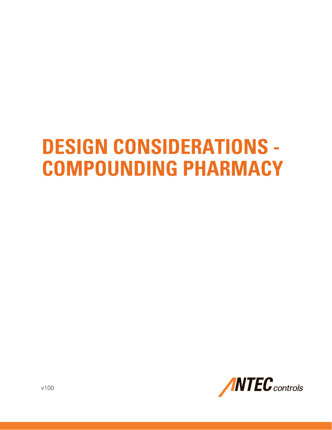# **DESIGN CONSIDERATIONS - COMPOUNDING PHARMACY**

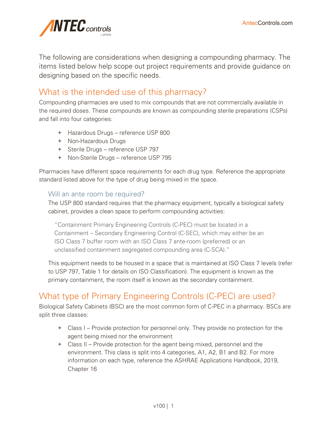

The following are considerations when designing a compounding pharmacy. The items listed below help scope out project requirements and provide guidance on designing based on the specific needs.

# What is the intended use of this pharmacy?

Compounding pharmacies are used to mix compounds that are not commercially available in the required doses. These compounds are known as compounding sterile preparations (CSPs) and fall into four categories:

- + Hazardous Drugs reference USP 800
- + Non-Hazardous Drugs
- + Sterile Drugs reference USP 797
- + Non-Sterile Drugs reference USP 795

Pharmacies have different space requirements for each drug type. Reference the appropriate standard listed above for the type of drug being mixed in the space.

#### Will an ante room be required?

The USP 800 standard requires that the pharmacy equipment, typically a biological safety cabinet, provides a clean space to perform compounding activities:

"Containment Primary Engineering Controls (C-PEC) must be located in a Containment – Secondary Engineering Control (C-SEC), which may either be an ISO Class 7 buffer room with an ISO Class 7 ante-room (preferred) or an unclassified containment segregated compounding area (C-SCA)."

This equipment needs to be housed in a space that is maintained at ISO Class 7 levels (refer to USP 797, Table 1 for details on ISO Classification). The equipment is known as the primary containment, the room itself is known as the secondary containment.

# What type of Primary Engineering Controls (C-PEC) are used?

Biological Safety Cabinets (BSC) are the most common form of C-PEC in a pharmacy. BSCs are split three classes:

- + Class I Provide protection for personnel only. They provide no protection for the agent being mixed nor the environment
- + Class II Provide protection for the agent being mixed, personnel and the environment. This class is split into 4 categories, A1, A2, B1 and B2. For more information on each type, reference the ASHRAE Applications Handbook, 2019, Chapter 16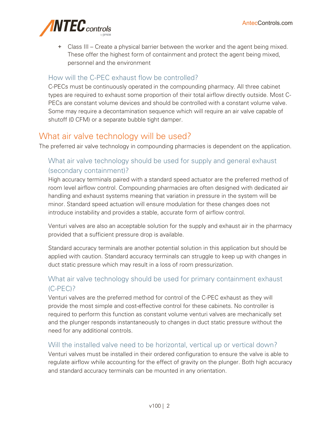

+ Class III – Create a physical barrier between the worker and the agent being mixed. These offer the highest form of containment and protect the agent being mixed, personnel and the environment

## How will the C-PEC exhaust flow be controlled?

C-PECs must be continuously operated in the compounding pharmacy. All three cabinet types are required to exhaust some proportion of their total airflow directly outside. Most C-PECs are constant volume devices and should be controlled with a constant volume valve. Some may require a decontamination sequence which will require an air valve capable of shutoff (0 CFM) or a separate bubble tight damper.

## What air valve technology will be used?

The preferred air valve technology in compounding pharmacies is dependent on the application.

## What air valve technology should be used for supply and general exhaust (secondary containment)?

High accuracy terminals paired with a standard speed actuator are the preferred method of room level airflow control. Compounding pharmacies are often designed with dedicated air handling and exhaust systems meaning that variation in pressure in the system will be minor. Standard speed actuation will ensure modulation for these changes does not introduce instability and provides a stable, accurate form of airflow control.

Venturi valves are also an acceptable solution for the supply and exhaust air in the pharmacy provided that a sufficient pressure drop is available.

Standard accuracy terminals are another potential solution in this application but should be applied with caution. Standard accuracy terminals can struggle to keep up with changes in duct static pressure which may result in a loss of room pressurization.

## What air valve technology should be used for primary containment exhaust (C-PEC)?

Venturi valves are the preferred method for control of the C-PEC exhaust as they will provide the most simple and cost-effective control for these cabinets. No controller is required to perform this function as constant volume venturi valves are mechanically set and the plunger responds instantaneously to changes in duct static pressure without the need for any additional controls.

## Will the installed valve need to be horizontal, vertical up or vertical down?

Venturi valves must be installed in their ordered configuration to ensure the valve is able to regulate airflow while accounting for the effect of gravity on the plunger. Both high accuracy and standard accuracy terminals can be mounted in any orientation.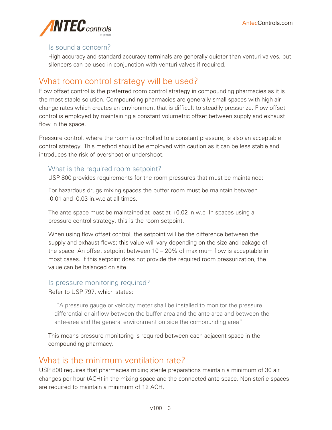

#### Is sound a concern?

High accuracy and standard accuracy terminals are generally quieter than venturi valves, but silencers can be used in conjunction with venturi valves if required.

## What room control strategy will be used?

Flow offset control is the preferred room control strategy in compounding pharmacies as it is the most stable solution. Compounding pharmacies are generally small spaces with high air change rates which creates an environment that is difficult to steadily pressurize. Flow offset control is employed by maintaining a constant volumetric offset between supply and exhaust flow in the space.

Pressure control, where the room is controlled to a constant pressure, is also an acceptable control strategy. This method should be employed with caution as it can be less stable and introduces the risk of overshoot or undershoot.

#### What is the required room setpoint?

USP 800 provides requirements for the room pressures that must be maintained:

For hazardous drugs mixing spaces the buffer room must be maintain between -0.01 and -0.03 in.w.c at all times.

The ante space must be maintained at least at +0.02 in.w.c. In spaces using a pressure control strategy, this is the room setpoint.

When using flow offset control, the setpoint will be the difference between the supply and exhaust flows; this value will vary depending on the size and leakage of the space. An offset setpoint between 10 – 20% of maximum flow is acceptable in most cases. If this setpoint does not provide the required room pressurization, the value can be balanced on site.

#### Is pressure monitoring required?

Refer to USP 797, which states:

"A pressure gauge or velocity meter shall be installed to monitor the pressure differential or airflow between the buffer area and the ante-area and between the ante-area and the general environment outside the compounding area"

This means pressure monitoring is required between each adjacent space in the compounding pharmacy.

## What is the minimum ventilation rate?

USP 800 requires that pharmacies mixing sterile preparations maintain a minimum of 30 air changes per hour (ACH) in the mixing space and the connected ante space. Non-sterile spaces are required to maintain a minimum of 12 ACH.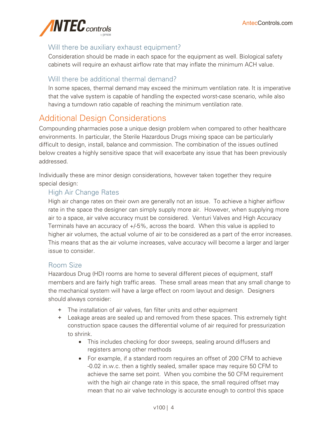

## Will there be auxiliary exhaust equipment?

Consideration should be made in each space for the equipment as well. Biological safety cabinets will require an exhaust airflow rate that may inflate the minimum ACH value.

## Will there be additional thermal demand?

In some spaces, thermal demand may exceed the minimum ventilation rate. It is imperative that the valve system is capable of handling the expected worst-case scenario, while also having a turndown ratio capable of reaching the minimum ventilation rate.

## Additional Design Considerations

Compounding pharmacies pose a unique design problem when compared to other healthcare environments. In particular, the Sterile Hazardous Drugs mixing space can be particularly difficult to design, install, balance and commission. The combination of the issues outlined below creates a highly sensitive space that will exacerbate any issue that has been previously addressed.

Individually these are minor design considerations, however taken together they require special design:

## High Air Change Rates

High air change rates on their own are generally not an issue. To achieve a higher airflow rate in the space the designer can simply supply more air. However, when supplying more air to a space, air valve accuracy must be considered. Venturi Valves and High Accuracy Terminals have an accuracy of +/-5%, across the board. When this value is applied to higher air volumes, the actual volume of air to be considered as a part of the error increases. This means that as the air volume increases, valve accuracy will become a larger and larger issue to consider.

#### Room Size

Hazardous Drug (HD) rooms are home to several different pieces of equipment, staff members and are fairly high traffic areas. These small areas mean that any small change to the mechanical system will have a large effect on room layout and design. Designers should always consider:

- + The installation of air valves, fan filter units and other equipment
- + Leakage areas are sealed up and removed from these spaces. This extremely tight construction space causes the differential volume of air required for pressurization to shrink.
	- This includes checking for door sweeps, sealing around diffusers and registers among other methods
	- For example, if a standard room requires an offset of 200 CFM to achieve -0.02 in.w.c. then a tightly sealed, smaller space may require 50 CFM to achieve the same set point. When you combine the 50 CFM requirement with the high air change rate in this space, the small required offset may mean that no air valve technology is accurate enough to control this space